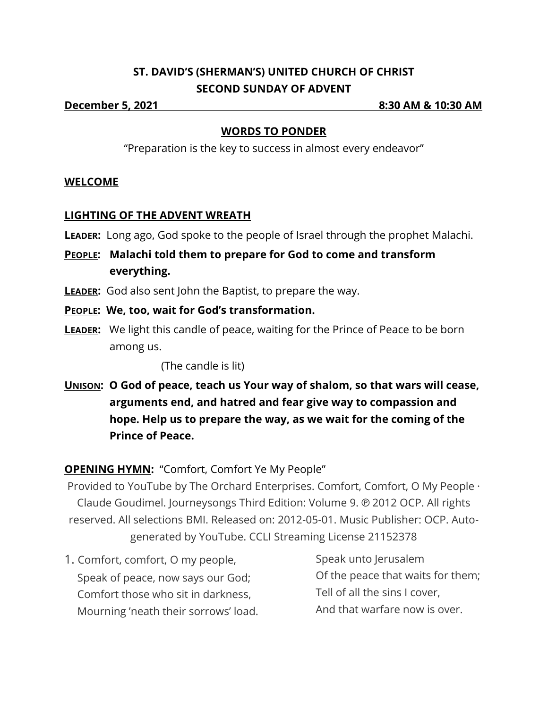## **ST. DAVID'S (SHERMAN'S) UNITED CHURCH OF CHRIST SECOND SUNDAY OF ADVENT**

**December 5, 2021 8:30 AM & 10:30 AM**

#### **WORDS TO PONDER**

"Preparation is the key to success in almost every endeavor"

#### **WELCOME**

#### **LIGHTING OF THE ADVENT WREATH**

- **LEADER:** Long ago, God spoke to the people of Israel through the prophet Malachi.
- **PEOPLE: Malachi told them to prepare for God to come and transform everything.**
- **LEADER:** God also sent John the Baptist, to prepare the way.
- **PEOPLE: We, too, wait for God's transformation.**
- **LEADER:** We light this candle of peace, waiting for the Prince of Peace to be born among us.

(The candle is lit)

**UNISON: O God of peace, teach us Your way of shalom, so that wars will cease, arguments end, and hatred and fear give way to compassion and hope. Help us to prepare the way, as we wait for the coming of the Prince of Peace.**

**OPENING HYMN:** "Comfort, Comfort Ye My People"

Provided to YouTube by The Orchard Enterprises. Comfort, Comfort, O My People · Claude Goudimel. Journeysongs Third Edition: Volume 9. ℗ 2012 OCP. All rights reserved. All selections BMI. Released on: 2012-05-01. Music Publisher: OCP. Autogenerated by YouTube. CCLI Streaming License 21152378

1. Comfort, comfort, O my people, Speak of peace, now says our God; Comfort those who sit in darkness, Mourning 'neath their sorrows' load.

Speak unto Jerusalem Of the peace that waits for them; Tell of all the sins I cover, And that warfare now is over.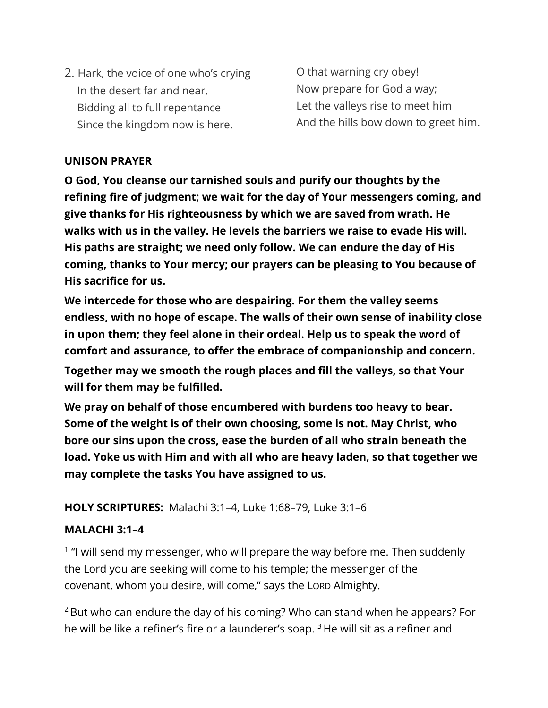2. Hark, the voice of one who's crying In the desert far and near, Bidding all to full repentance Since the kingdom now is here.

O that warning cry obey! Now prepare for God a way; Let the valleys rise to meet him And the hills bow down to greet him.

#### **UNISON PRAYER**

**O God, You cleanse our tarnished souls and purify our thoughts by the refining fire of judgment; we wait for the day of Your messengers coming, and give thanks for His righteousness by which we are saved from wrath. He walks with us in the valley. He levels the barriers we raise to evade His will. His paths are straight; we need only follow. We can endure the day of His coming, thanks to Your mercy; our prayers can be pleasing to You because of His sacrifice for us.**

**We intercede for those who are despairing. For them the valley seems endless, with no hope of escape. The walls of their own sense of inability close in upon them; they feel alone in their ordeal. Help us to speak the word of comfort and assurance, to offer the embrace of companionship and concern. Together may we smooth the rough places and fill the valleys, so that Your will for them may be fulfilled.**

**We pray on behalf of those encumbered with burdens too heavy to bear. Some of the weight is of their own choosing, some is not. May Christ, who bore our sins upon the cross, ease the burden of all who strain beneath the load. Yoke us with Him and with all who are heavy laden, so that together we may complete the tasks You have assigned to us.**

### **HOLY SCRIPTURES:** Malachi 3:1–4, Luke 1:68–79, Luke 3:1–6

### **MALACHI 3:1–4**

<sup>1</sup> "I will send my messenger, who will prepare the way before me. Then suddenly the Lord you are seeking will come to his temple; the messenger of the covenant, whom you desire, will come," says the LORD Almighty.

 $2$  But who can endure the day of his coming? Who can stand when he appears? For he will be like a refiner's fire or a launderer's soap.  $3$  He will sit as a refiner and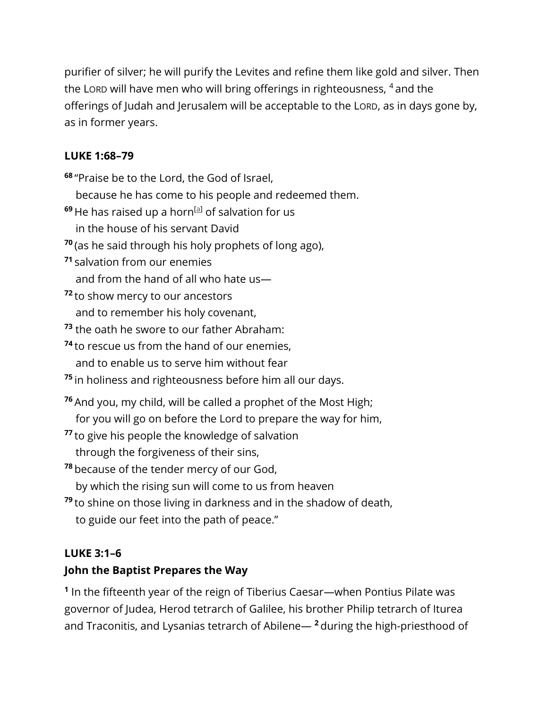purifier of silver; he will purify the Levites and refine them like gold and silver. Then the LORD will have men who will bring offerings in righteousness,  $4$  and the offerings of Judah and Jerusalem will be acceptable to the LORD, as in days gone by, as in former years.

## **LUKE 1:68–79**

**<sup>68</sup>** "Praise be to the Lord, the God of Israel, because he has come to his people and redeemed them. <sup>69</sup> He has raised up a horn<sup>[\[a\]](https://www.biblegateway.com/passage/?search=Luke%201:68-79&version=NIV&interface=print#fen-NIV-24963a)</sup> of salvation for us

- in the house of his servant David
- **<sup>70</sup>** (as he said through his holy prophets of long ago),
- **<sup>71</sup>** salvation from our enemies

and from the hand of all who hate us—

**<sup>72</sup>** to show mercy to our ancestors and to remember his holy covenant,

**<sup>73</sup>** the oath he swore to our father Abraham:

- **<sup>74</sup>** to rescue us from the hand of our enemies, and to enable us to serve him without fear
- **<sup>75</sup>** in holiness and righteousness before him all our days.
- **<sup>76</sup>** And you, my child, will be called a prophet of the Most High; for you will go on before the Lord to prepare the way for him,
- **<sup>77</sup>** to give his people the knowledge of salvation through the forgiveness of their sins,
- **<sup>78</sup>** because of the tender mercy of our God, by which the rising sun will come to us from heaven
- **<sup>79</sup>** to shine on those living in darkness and in the shadow of death, to guide our feet into the path of peace."

## **LUKE 3:1–6**

# **John the Baptist Prepares the Way**

**1** In the fifteenth year of the reign of Tiberius Caesar—when Pontius Pilate was governor of Judea, Herod tetrarch of Galilee, his brother Philip tetrarch of Iturea and Traconitis, and Lysanias tetrarch of Abilene— **<sup>2</sup>** during the high-priesthood of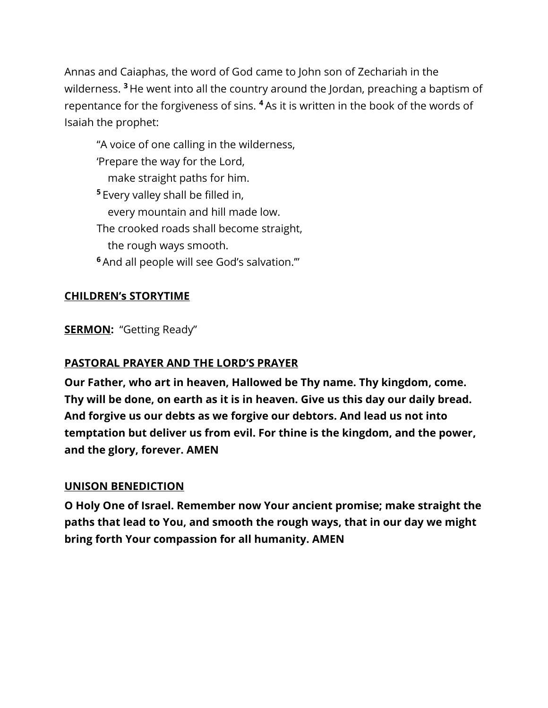Annas and Caiaphas, the word of God came to John son of Zechariah in the wilderness. **<sup>3</sup>** He went into all the country around the Jordan, preaching a baptism of repentance for the forgiveness of sins. **<sup>4</sup>** As it is written in the book of the words of Isaiah the prophet:

"A voice of one calling in the wilderness, 'Prepare the way for the Lord, make straight paths for him. **<sup>5</sup>** Every valley shall be filled in, every mountain and hill made low. The crooked roads shall become straight, the rough ways smooth. **<sup>6</sup>** And all people will see God's salvation.'"

### **CHILDREN's STORYTIME**

**SERMON:** "Getting Ready"

## **PASTORAL PRAYER AND THE LORD'S PRAYER**

**Our Father, who art in heaven, Hallowed be Thy name. Thy kingdom, come. Thy will be done, on earth as it is in heaven. Give us this day our daily bread. And forgive us our debts as we forgive our debtors. And lead us not into temptation but deliver us from evil. For thine is the kingdom, and the power, and the glory, forever. AMEN**

### **UNISON BENEDICTION**

**O Holy One of Israel. Remember now Your ancient promise; make straight the paths that lead to You, and smooth the rough ways, that in our day we might bring forth Your compassion for all humanity. AMEN**